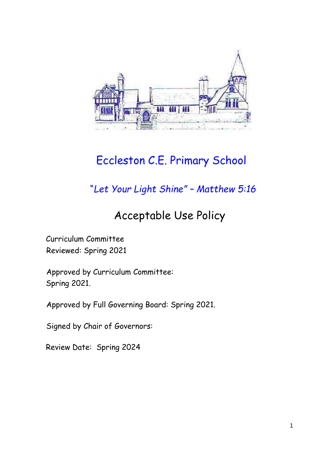

# Eccleston C.E. Primary School

"*Let Your Light Shine" – Matthew 5:16*

# Acceptable Use Policy

Curriculum Committee Reviewed: Spring 2021

Approved by Curriculum Committee: Spring 2021.

Approved by Full Governing Board: Spring 2021.

Signed by Chair of Governors:

Review Date: Spring 2024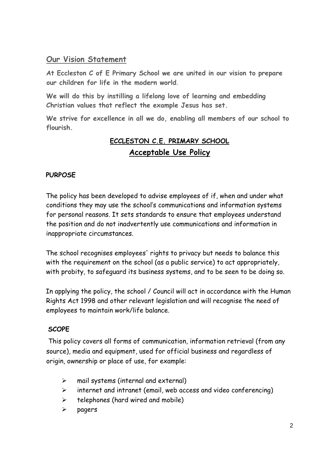# **Our Vision Statement**

**At Eccleston C of E Primary School we are united in our vision to prepare our children for life in the modern world**.

**We will do this by instilling a lifelong love of learning and embedding Christian values that reflect the example Jesus has set.**

**We strive for excellence in all we do, enabling all members of our school to flourish.**

# **ECCLESTON C.E. PRIMARY SCHOOL Acceptable Use Policy**

# **PURPOSE**

The policy has been developed to advise employees of if, when and under what conditions they may use the school's communications and information systems for personal reasons. It sets standards to ensure that employees understand the position and do not inadvertently use communications and information in inappropriate circumstances.

The school recognises employees' rights to privacy but needs to balance this with the requirement on the school (as a public service) to act appropriately, with probity, to safeguard its business systems, and to be seen to be doing so.

In applying the policy, the school / Council will act in accordance with the Human Rights Act 1998 and other relevant legislation and will recognise the need of employees to maintain work/life balance.

# **SCOPE**

This policy covers all forms of communication, information retrieval (from any source), media and equipment, used for official business and regardless of origin, ownership or place of use, for example:

- $\triangleright$  mail systems (internal and external)
- $\triangleright$  internet and intranet (email, web access and video conferencing)
- $\triangleright$  telephones (hard wired and mobile)
- $\triangleright$  pagers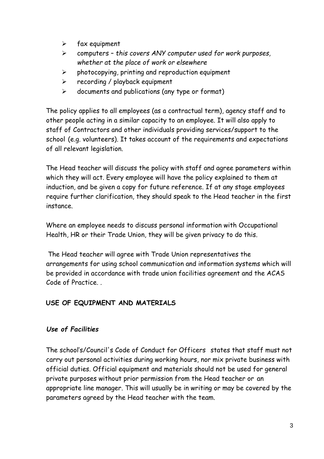- $\triangleright$  fax equipment
- computers *this covers ANY computer used for work purposes, whether at the place of work or elsewhere*
- $\triangleright$  photocopying, printing and reproduction equipment
- $\triangleright$  recording / playback equipment
- $\triangleright$  documents and publications (any type or format)

The policy applies to all employees (as a contractual term), agency staff and to other people acting in a similar capacity to an employee. It will also apply to staff of Contractors and other individuals providing services/support to the school (e.g. volunteers). It takes account of the requirements and expectations of all relevant legislation.

The Head teacher will discuss the policy with staff and agree parameters within which they will act. Every employee will have the policy explained to them at induction, and be given a copy for future reference. If at any stage employees require further clarification, they should speak to the Head teacher in the first instance.

Where an employee needs to discuss personal information with Occupational Health, HR or their Trade Union, they will be given privacy to do this.

The Head teacher will agree with Trade Union representatives the arrangements for using school communication and information systems which will be provided in accordance with trade union facilities agreement and the ACAS Code of Practice. *.*

# **USE OF EQUIPMENT AND MATERIALS**

# *Use of Facilities*

The school's/Council's Code of Conduct for Officers states that staff must not carry out personal activities during working hours, nor mix private business with official duties. Official equipment and materials should not be used for general private purposes without prior permission from the Head teacher or an appropriate line manager. This will usually be in writing or may be covered by the parameters agreed by the Head teacher with the team.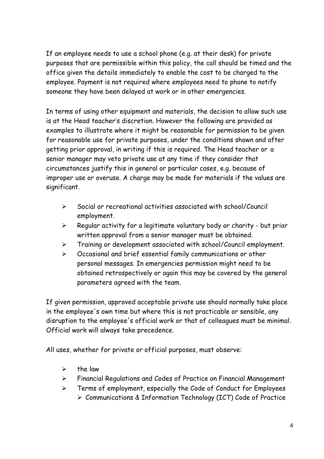If an employee needs to use a school phone (e.g. at their desk) for private purposes that are permissible within this policy, the call should be timed and the office given the details immediately to enable the cost to be charged to the employee. Payment is not required where employees need to phone to notify someone they have been delayed at work or in other emergencies.

In terms of using other equipment and materials, the decision to allow such use is at the Head teacher's discretion. However the following are provided as examples to illustrate where it might be reasonable for permission to be given for reasonable use for private purposes, under the conditions shown and after getting prior approval, in writing if this is required. The Head teacher or a senior manager may veto private use at any time if they consider that circumstances justify this in general or particular cases, e.g. because of improper use or overuse. A charge may be made for materials if the values are significant.

- Social or recreational activities associated with school/Council employment.
- $\triangleright$  Regular activity for a legitimate voluntary body or charity but prior written approval from a senior manager must be obtained.
- Training or development associated with school/Council employment.
- $\triangleright$  Occasional and brief essential family communications or other personal messages. In emergencies permission might need to be obtained retrospectively or again this may be covered by the general parameters agreed with the team.

If given permission, approved acceptable private use should normally take place in the employee's own time but where this is not practicable or sensible, any disruption to the employee's official work or that of colleagues must be minimal. Official work will always take precedence.

All uses, whether for private or official purposes, must observe:

- $\triangleright$  the law
- Financial Regulations and Codes of Practice on Financial Management
- $\triangleright$  Terms of employment, especially the Code of Conduct for Employees  $\triangleright$  Communications & Information Technology (ICT) Code of Practice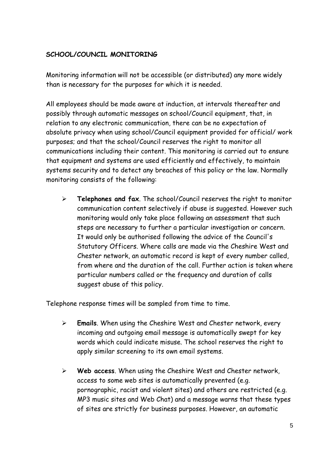#### **SCHOOL/COUNCIL MONITORING**

Monitoring information will not be accessible (or distributed) any more widely than is necessary for the purposes for which it is needed.

All employees should be made aware at induction, at intervals thereafter and possibly through automatic messages on school/Council equipment, that, in relation to any electronic communication, there can be no expectation of absolute privacy when using school/Council equipment provided for official/ work purposes; and that the school/Council reserves the right to monitor all communications including their content. This monitoring is carried out to ensure that equipment and systems are used efficiently and effectively, to maintain systems security and to detect any breaches of this policy or the law. Normally monitoring consists of the following:

 **Telephones and fax**. The school/Council reserves the right to monitor communication content selectively if abuse is suggested. However such monitoring would only take place following an assessment that such steps are necessary to further a particular investigation or concern. It would only be authorised following the advice of the Council's Statutory Officers. Where calls are made via the Cheshire West and Chester network, an automatic record is kept of every number called, from where and the duration of the call. Further action is taken where particular numbers called or the frequency and duration of calls suggest abuse of this policy.

Telephone response times will be sampled from time to time.

- **Emails**. When using the Cheshire West and Chester network, every incoming and outgoing email message is automatically swept for key words which could indicate misuse. The school reserves the right to apply similar screening to its own email systems.
- **Web access**. When using the Cheshire West and Chester network, access to some web sites is automatically prevented (e.g. pornographic, racist and violent sites) and others are restricted (e.g. MP3 music sites and Web Chat) and a message warns that these types of sites are strictly for business purposes. However, an automatic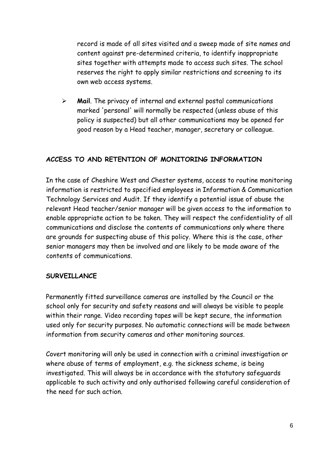record is made of all sites visited and a sweep made of site names and content against pre-determined criteria, to identify inappropriate sites together with attempts made to access such sites. The school reserves the right to apply similar restrictions and screening to its own web access systems.

 **Mail**. The privacy of internal and external postal communications marked 'personal' will normally be respected (unless abuse of this policy is suspected) but all other communications may be opened for good reason by a Head teacher, manager, secretary or colleague.

# **ACCESS TO AND RETENTION OF MONITORING INFORMATION**

In the case of Cheshire West and Chester systems, access to routine monitoring information is restricted to specified employees in Information & Communication Technology Services and Audit. If they identify a potential issue of abuse the relevant Head teacher/senior manager will be given access to the information to enable appropriate action to be taken. They will respect the confidentiality of all communications and disclose the contents of communications only where there are grounds for suspecting abuse of this policy. Where this is the case, other senior managers may then be involved and are likely to be made aware of the contents of communications.

#### **SURVEILLANCE**

Permanently fitted surveillance cameras are installed by the Council or the school only for security and safety reasons and will always be visible to people within their range. Video recording tapes will be kept secure, the information used only for security purposes. No automatic connections will be made between information from security cameras and other monitoring sources.

Covert monitoring will only be used in connection with a criminal investigation or where abuse of terms of employment, e.g. the sickness scheme, is being investigated. This will always be in accordance with the statutory safeguards applicable to such activity and only authorised following careful consideration of the need for such action.